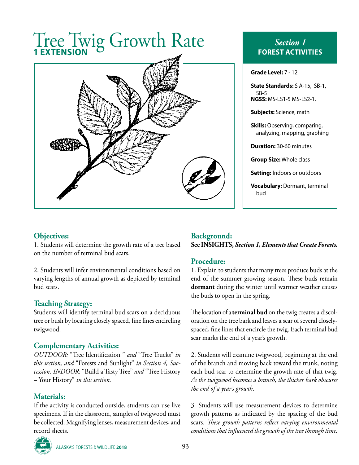# Tree Twig Growth Rate **1 EXTENSION**



# *Section 1* **FOREST ACTIVITIES**

**Grade Level:** 7 - 12

**State Standards:** S A-15, SB-1, SB-5 **NGSS:** MS-LS1-5 MS-LS2-1.

**Subjects:** Science, math

**Skills:** Observing, comparing, analyzing, mapping, graphing

**Duration:** 30-60 minutes

**Group Size:** Whole class

**Setting:** Indoors or outdoors

**Vocabulary:** Dormant, terminal bud

#### **Objectives:**

1. Students will determine the growth rate of a tree based on the number of terminal bud scars.

2. Students will infer environmental conditions based on varying lengths of annual growth as depicted by terminal bud scars.

## **Teaching Strategy:**

Students will identify terminal bud scars on a deciduous tree or bush by locating closely spaced, fine lines encircling twigwood.

## **Complementary Activities:**

*OUTDOOR:* "Tree Identification " *and* "Tree Trucks" *in this section, and* "Forests and Sunlight" *in Section 4, Succession. INDOOR:* "Build a Tasty Tree" *and* "Tree History – Your History" *in this section.*

## **Materials:**

If the activity is conducted outside, students can use live specimens. If in the classroom, samples of twigwood must be collected. Magnifying lenses, measurement devices, and record sheets.

## **Background: See INSIGHTS,** *Section 1, Elements that Create Forests.*

## **Procedure:**

1. Explain to students that many trees produce buds at the end of the summer growing season. These buds remain **dormant** during the winter until warmer weather causes the buds to open in the spring.

The location of a **terminal bud** on the twig creates a discoloration on the tree bark and leaves a scar of several closelyspaced, fine lines that encircle the twig. Each terminal bud scar marks the end of a year's growth.

2. Students will examine twigwood, beginning at the end of the branch and moving back toward the trunk, noting each bud scar to determine the growth rate of that twig. *As the twigwood becomes a branch, the thicker bark obscures the end of a year's growth*.

3. Students will use measurement devices to determine growth patterns as indicated by the spacing of the bud scars. *These growth patterns reflect varying environmental conditions that influenced the growth of the tree through time.*